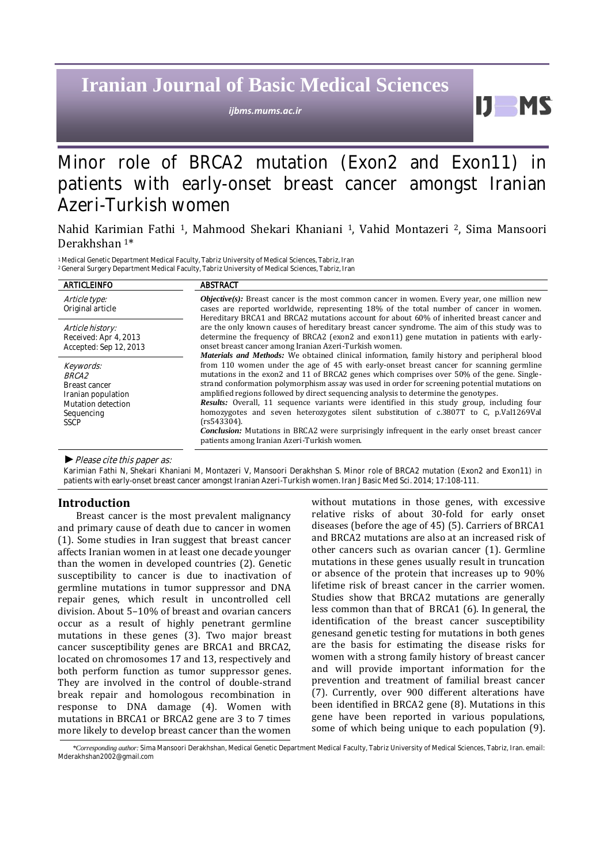# **Iranian Journal of Basic Medical Sciences**

*ijbms.mums.ac.ir*

# Minor role of BRCA2 mutation (Exon2 and Exon11) in patients with early-onset breast cancer amongst Iranian Azeri-Turkish women

# Nahid Karimian Fathi <sup>1</sup>, Mahmood Shekari Khaniani <sup>1</sup>, Vahid Montazeri <sup>2</sup>, Sima Mansoori Derakhshan <sup>1</sup>\*

<sup>1</sup> Medical Genetic Department Medical Faculty, Tabriz University of Medical Sciences, Tabriz, Iran <sup>2</sup>General Surgery Department Medical Faculty, Tabriz University of Medical Sciences, Tabriz, Iran

| <b>ARTICLEINFO</b>                                                                                                  | <b>ABSTRACT</b>                                                                                                                                                                                                                                                                                                                                                                                                                                                                                                                                                                                                                                                                                                                                                                                                                                      |  |
|---------------------------------------------------------------------------------------------------------------------|------------------------------------------------------------------------------------------------------------------------------------------------------------------------------------------------------------------------------------------------------------------------------------------------------------------------------------------------------------------------------------------------------------------------------------------------------------------------------------------------------------------------------------------------------------------------------------------------------------------------------------------------------------------------------------------------------------------------------------------------------------------------------------------------------------------------------------------------------|--|
| Article type:<br>Original article                                                                                   | <i>Objective(s)</i> : Breast cancer is the most common cancer in women. Every year, one million new<br>cases are reported worldwide, representing 18% of the total number of cancer in women.<br>Hereditary BRCA1 and BRCA2 mutations account for about 60% of inherited breast cancer and                                                                                                                                                                                                                                                                                                                                                                                                                                                                                                                                                           |  |
| Article history:<br>Received: Apr 4, 2013<br>Accepted: Sep 12, 2013                                                 | are the only known causes of hereditary breast cancer syndrome. The aim of this study was to<br>determine the frequency of BRCA2 (exon2 and exon11) gene mutation in patients with early-<br>onset breast cancer among Iranian Azeri-Turkish women.                                                                                                                                                                                                                                                                                                                                                                                                                                                                                                                                                                                                  |  |
| Keywords:<br><i>BRCA2</i><br>Breast cancer<br>Iranian population<br>Mutation detection<br>Sequencing<br><b>SSCP</b> | <b>Materials and Methods:</b> We obtained clinical information, family history and peripheral blood<br>from 110 women under the age of 45 with early-onset breast cancer for scanning germline<br>mutations in the exon2 and 11 of BRCA2 genes which comprises over 50% of the gene. Single-<br>strand conformation polymorphism assay was used in order for screening potential mutations on<br>amplified regions followed by direct sequencing analysis to determine the genotypes.<br>Results: Overall, 11 sequence variants were identified in this study group, including four<br>homozygotes and seven heterozygotes silent substitution of c.3807T to C, p.Val1269Val<br>$(rs543304)$ .<br><b>Conclusion:</b> Mutations in BRCA2 were surprisingly infrequent in the early onset breast cancer<br>patients among Iranian Azeri-Turkish women. |  |

*►*Please cite this paper as:

Karimian Fathi N, Shekari Khaniani M, Montazeri V, Mansoori Derakhshan S. Minor role of BRCA2 mutation (Exon2 and Exon11) in patients with early-onset breast cancer amongst Iranian Azeri-Turkish women. Iran J Basic Med Sci. 2014; 17:108-111.

# **Introduction**

Breast cancer is the most prevalent malignancy and primary cause of death due to cancer in women (1). Some studies in Iran suggest that breast cancer affects Iranian women in at least one decade younger than the women in developed countries (2). Genetic susceptibility to cancer is due to inactivation of germline mutations in tumor suppressor and DNA repair genes, which result in uncontrolled cell division. About 5–10% of breast and ovarian cancers occur as a result of highly penetrant germline mutations in these genes (3). Two major breast cancer susceptibility genes are BRCA1 and BRCA2, located on chromosomes 17 and 13, respectively and both perform function as tumor suppressor genes. They are involved in the control of double-strand break repair and homologous recombination in response to DNA damage (4). Women with mutations in BRCA1 or BRCA2 gene are 3 to 7 times more likely to develop breast cancer than the women without mutations in those genes, with excessive relative risks of about 30-fold for early onset diseases (before the age of 45) (5). Carriers of BRCA1 and BRCA2 mutations are also at an increased risk of other cancers such as ovarian cancer (1). Germline mutations in these genes usually result in truncation or absence of the protein that increases up to 90% lifetime risk of breast cancer in the carrier women. Studies show that BRCA2 mutations are generally less common than that of BRCA1 (6). In general, the identification of the breast cancer susceptibility genesand genetic testing for mutations in both genes are the basis for estimating the disease risks for women with a strong family history of breast cancer and will provide important information for the prevention and treatment of familial breast cancer (7). Currently, over 900 different alterations have been identified in BRCA2 gene (8). Mutations in this gene have been reported in various populations, some of which being unique to each population (9).

И.

**MS** 

*\*Corresponding author:* Sima Mansoori Derakhshan, Medical Genetic Department Medical Faculty, Tabriz University of Medical Sciences, Tabriz, Iran. email: [Mderakhshan2002@gmail.com](mailto:Mderakhshan2002@gmail.com)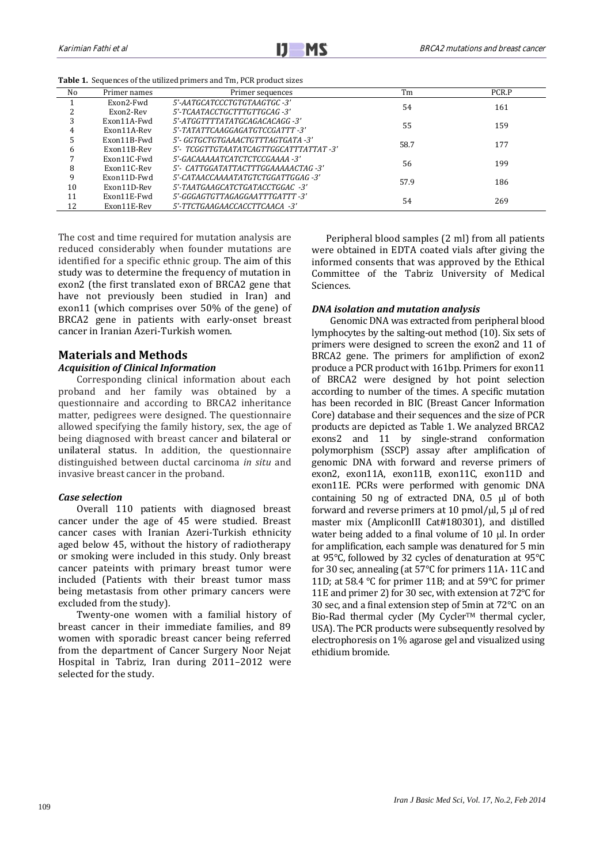| <b>Table 1.</b> Sequences of the utilized primers and Tm, PCR product sizes |  |  |
|-----------------------------------------------------------------------------|--|--|
|-----------------------------------------------------------------------------|--|--|

| No | Primer names | Primer sequences                       | Tm   | PCR.P |
|----|--------------|----------------------------------------|------|-------|
|    | Exon2-Fwd    | 5'-AATGCATCCCTGTGTAAGTGC -3'           | 54   | 161   |
|    | Exon2-Rev    | 5'-TCAATACCTGCTTTGTTGCAG-3'            |      |       |
| 3  | Exon11A-Fwd  | 5'-ATGGTTTTATATGCAGACACAGG -3'         | 55   | 159   |
| 4  | Exon11A-Rev  | 5'-TATATTCAAGGAGATGTCCGATTT            |      |       |
| 5  | Exon11B-Fwd  | 5'- GGTGCTGTGAAACTGTTTAGTGATA -3'      |      | 177   |
| 6  | Exon11B-Rev  | 5'- TCGGTTGTAATATCAGTTGGCATTTATTAT -3' | 58.7 |       |
|    | Exon11C-Fwd  | 5'-GACAAAAATCATCTCTCCGAAAA -3'         | 56   | 199   |
| 8  | Exon11C-Rev  | 5'- CATTGGATATTACTTTGGAAAAACTAG -3'    |      |       |
| 9  | Exon11D-Fwd  | 5'-CATAACCAAAATATGTCTGGATTGGAG -3'     | 57.9 | 186   |
| 10 | Exon11D-Rev  | 5'-TAATGAAGCATCTGATACCTGGAC            |      |       |
| 11 | Exon11E-Fwd  | 5'-GGGAGTGTTAGAGGAATTTGATTT -3'        | 54   | 269   |
| 12 | Exon11E-Rev  | 5'-TTCTGAAGAACCACCTTCAACA -3'          |      |       |

The cost and time required for mutation analysis are reduced considerably when founder mutations are identified for a specific ethnic group. The aim of this study was to determine the frequency of mutation in exon2 (the first translated exon of BRCA2 gene that have not previously been studied in Iran) and exon11 (which comprises over 50% of the gene) of BRCA2 gene in patients with early-onset breast cancer in Iranian Azeri-Turkish women.

# **Materials and Methods**

# *Acquisition of Clinical Information*

Corresponding clinical information about each proband and her family was obtained by a questionnaire and according to BRCA2 inheritance matter, pedigrees were designed. The questionnaire allowed specifying the family history, sex, the age of being diagnosed with breast cancer and bilateral or unilateral status. In addition, the questionnaire distinguished between ductal carcinoma *in situ* and invasive breast cancer in the proband.

# *Case selection*

Overall 110 patients with diagnosed breast cancer under the age of 45 were studied. Breast cancer cases with Iranian Azeri-Turkish ethnicity aged below 45, without the history of radiotherapy or smoking were included in this study. Only breast cancer pateints with primary breast tumor were included (Patients with their breast tumor mass being metastasis from other primary cancers were excluded from the study).

Twenty-one women with a familial history of breast cancer in their immediate families, and 89 women with sporadic breast cancer being referred from the department of Cancer Surgery Noor Nejat Hospital in Tabriz, Iran during 2011–2012 were selected for the study.

Peripheral blood samples (2 ml) from all patients were obtained in EDTA coated vials after giving the informed consents that was approved by the Ethical Committee of the Tabriz University of Medical Sciences.

#### *DNA isolation and mutation analysis*

Genomic DNA was extracted from peripheral blood lymphocytes by the salting-out method (10). Six sets of primers were designed to screen the exon2 and 11 of BRCA2 gene. The primers for amplifiction of exon2 produce a PCR product with 161bp. Primers for exon11 of BRCA2 were designed by hot point selection according to number of the times. A specific mutation has been recorded in BIC (Breast Cancer Information Core) database and their sequences and the size of PCR products are depicted as Table 1. We analyzed BRCA2 exons2 and 11 by single-strand conformation polymorphism (SSCP) assay after amplification of genomic DNA with forward and reverse primers of exon2, exon11A, exon11B, exon11C, exon11D and exon11E. PCRs were performed with genomic DNA containing  $50$  ng of extracted DNA,  $0.5$   $\mu$ l of both forward and reverse primers at 10 pmol/ $\mu$ l, 5  $\mu$ l of red master mix (AmpliconIII Cat#180301), and distilled water being added to a final volume of  $10 \mu$ . In order for amplification, each sample was denatured for 5 min at 95°C, followed by 32 cycles of denaturation at 95°C for 30 sec, annealing (at 57°C for primers 11A٫ 11C and 11D; at 58.4 °C for primer 11B; and at 59°C for primer 11E and primer 2) for 30 sec, with extension at 72°C for 30 sec, and a final extension step of 5min at 72°C on an Bio-Rad thermal cycler (My Cycler™ thermal cycler, USA). The PCR products were subsequently resolved by electrophoresis on 1% agarose gel and visualized using ethidium bromide.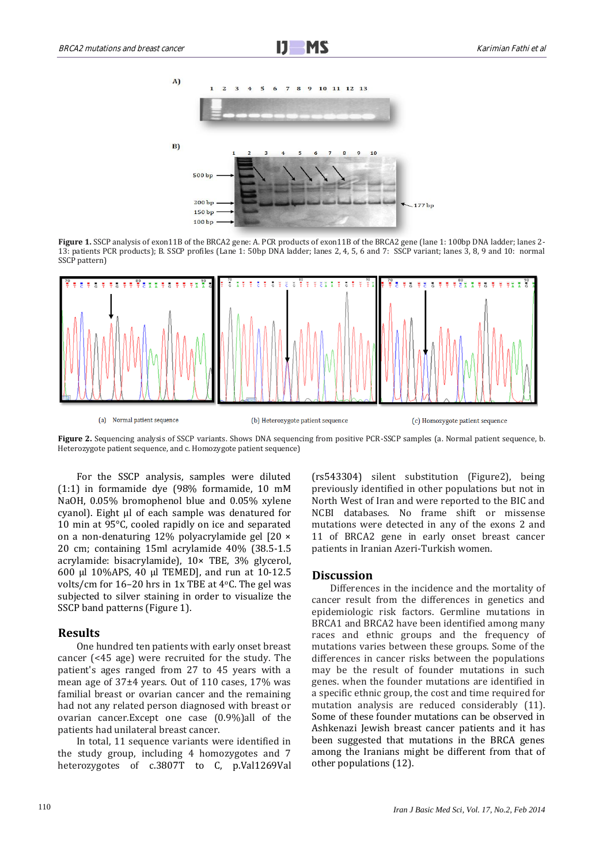

Figure 1. SSCP analysis of exon11B of the BRCA2 gene: A. PCR products of exon11B of the BRCA2 gene (lane 1: 100bp DNA ladder; lanes 2-13: patients PCR products); B. SSCP profiles (Lane 1: 50bp DNA ladder; lanes 2, 4, 5, 6 and 7: SSCP variant; lanes 3, 8, 9 and 10: normal SSCP pattern)



**Figure 2.** Sequencing analysis of SSCP variants. Shows DNA sequencing from positive PCR-SSCP samples (a. Normal patient sequence, b. Heterozygote patient sequence, and c. Homozygote patient sequence)

For the SSCP analysis, samples were diluted (1:1) in formamide dye (98% formamide, 10 mM NaOH, 0.05% bromophenol blue and 0.05% xylene cyanol). Eight μl of each sample was denatured for 10 min at 95°C, cooled rapidly on ice and separated on a non-denaturing 12% polyacrylamide gel [20 × 20 cm; containing 15ml acrylamide 40% (38.5-1.5 acrylamide: bisacrylamide), 10× TBE, 3% glycerol, 600 μl 10%APS, 40 μl TEMED], and run at 10-12.5 volts/cm for 16–20 hrs in 1x TBE at 4oC. The gel was subjected to silver staining in order to visualize the SSCP band patterns (Figure 1).

# **Results**

One hundred ten patients with early onset breast cancer (<45 age) were recruited for the study. The patient's ages ranged from 27 to 45 years with a mean age of 37±4 years. Out of 110 cases, 17% was familial breast or ovarian cancer and the remaining had not any related person diagnosed with breast or ovarian cancer.Except one case (0.9%)all of the patients had unilateral breast cancer.

In total, 11 sequence variants were identified in the study group, including 4 homozygotes and 7 heterozygotes of c.3807T to C, p.Val1269Val (rs543304) silent substitution (Figure2), being previously identified in other populations but not in North West of Iran and were reported to the BIC and NCBI databases. No frame shift or missense mutations were detected in any of the exons 2 and 11 of BRCA2 gene in early onset breast cancer patients in Iranian Azeri-Turkish women.

# **Discussion**

Differences in the incidence and the mortality of cancer result from the differences in genetics and epidemiologic risk factors. Germline mutations in BRCA1 and BRCA2 have been identified among many races and ethnic groups and the frequency of mutations varies between these groups. Some of the differences in cancer risks between the populations may be the result of founder mutations in such genes. when the founder mutations are identified in a specific ethnic group, the cost and time required for mutation analysis are reduced considerably (11). Some of these founder mutations can be observed in Ashkenazi Jewish breast cancer patients and it has been suggested that mutations in the BRCA genes among the Iranians might be different from that of other populations (12).